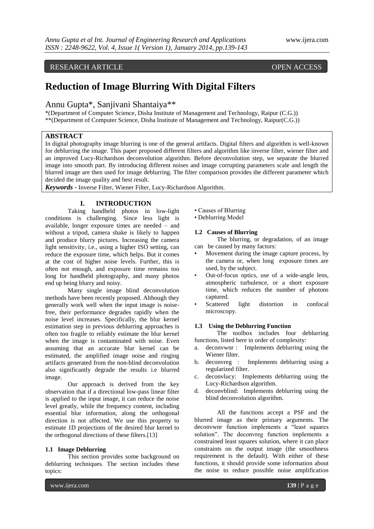### RESEARCH ARTICLE OPEN ACCESS

# **Reduction of Image Blurring With Digital Filters**

Annu Gupta\*, Sanjivani Shantaiya\*\*

\*(Department of Computer Science, Disha Institute of Management and Technology, Raipur (C.G.)) \*\*(Department of Computer Science, Disha Institute of Management and Technology, Raipur(C.G.))

### **ABSTRACT**

In digital photography image blurring is one of the general artifacts. Digital filters and algorithm is well-known for deblurring the image. This paper proposed different filters and algorithm like inverse filter, wiener filter and an improved Lucy-Richardson deconvolution algorithm. Before deconvolution step, we separate the blurred image into smooth part. By introducing different noises and image corrupting parameters scale and length the blurred image are then used for image deblurring. The filter comparison provides the different parameter which decided the image quality and best result.

*Keywords* - Inverse Filter, Wiener Filter, Lucy-Richardson Algorithm.

### **I. INTRODUCTION**

Taking handheld photos in low-light conditions is challenging. Since less light is available, longer exposure times are needed – and without a tripod, camera shake is likely to happen and produce blurry pictures. Increasing the camera light sensitivity, i.e., using a higher ISO setting, can reduce the exposure time, which helps. But it comes at the cost of higher noise levels. Further, this is often not enough, and exposure time remains too long for handheld photography, and many photos end up being blurry and noisy.

Many single image blind deconvolution methods have been recently proposed. Although they generally work well when the input image is noisefree, their performance degrades rapidly when the noise level increases. Specifically, the blur kernel estimation step in previous deblurring approaches is often too fragile to reliably estimate the blur kernel when the image is contaminated with noise. Even assuming that an accurate blur kernel can be estimated, the amplified image noise and ringing artifacts generated from the non-blind deconvolution also significantly degrade the results i.e blurred image.

Our approach is derived from the key observation that if a directional low-pass linear filter is applied to the input image, it can reduce the noise level greatly, while the frequency content, including essential blur information, along the orthogonal direction is not affected. We use this property to estimate 1D projections of the desired blur kernel to the orthogonal directions of these filters.[13]

#### **1.1 Image Deblurring**

This section provides some background on deblurring techniques. The section includes these topics:

- Causes of Blurring
- Deblurring Model
- **1.2 Causes of Blurring**

The blurring, or degradation, of an image can be caused by many factors:

- Movement during the image capture process, by the camera or, when long exposure times are used, by the subject.
- Out-of-focus optics, use of a wide-angle lens, atmospheric turbulence, or a short exposure time, which reduces the number of photons captured.
- Scattered light distortion in confocal microscopy.

#### **1.3 Using the Deblurring Function**

The toolbox includes four deblurring functions, listed here in order of complexity:

- a. deconvwnr : Implements deblurring using the Wiener filter.<br>b. deconvreg :
- Implements deblurring using a regularized filter.
- c. deconvlucy: Implements deblurring using the Lucy-Richardson algorithm.
- d. deconvblind: Implements deblurring using the blind deconvolution algorithm.

All the functions accept a PSF and the blurred image as their primary arguments. The deconvwnr function implements a "least squares solution". The deconvreg function implements a constrained least squares solution, where it can place constraints on the output image (the smoothness requirement is the default). With either of these functions, it should provide some information about the noise to reduce possible noise amplification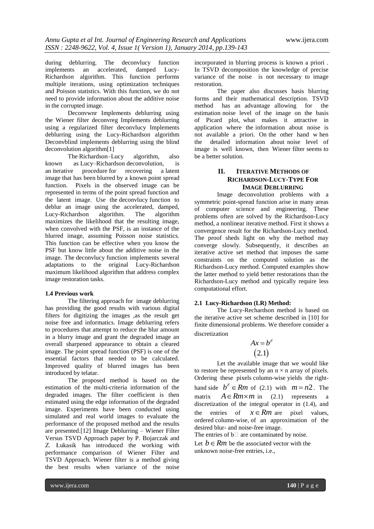during deblurring. The deconvlucy function implements an accelerated, damped Lucy-Richardson algorithm. This function performs multiple iterations, using optimization techniques and Poisson statistics. With this function, we do not need to provide information about the additive noise in the corrupted image.

Deconvwnr Implements deblurring using the Wiener filter deconvreg Implements deblurring using a regularized filter deconvlucy Implements deblurring using the Lucy-Richardson algorithm Deconvblind implements deblurring using the blind deconvolution algorithm[1]

The Richardson–Lucy algorithm, also known as Lucy–Richardson [deconvolution,](http://en.wikipedia.org/wiki/Deconvolution) is an [iterative procedure](http://en.wikipedia.org/wiki/Iterative_procedure) for recovering a [latent](http://en.wikipedia.org/wiki/Latent_image)  [image](http://en.wikipedia.org/wiki/Latent_image) that has been [blurred](http://en.wikipedia.org/wiki/Convolution) by a known [point spread](http://en.wikipedia.org/wiki/Point_spread_function)  [function.](http://en.wikipedia.org/wiki/Point_spread_function) Pixels in the observed image can be represented in terms of the point spread function and the latent image. Use the [deconvlucy](http://www.mathworks.in/help/images/ref/deconvlucy.html) function to deblur an image using the accelerated, damped,<br>Lucy-Richardson algorithm. The algorithm Lucy-Richardson algorithm. The algorithm maximizes the likelihood that the resulting image, when convolved with the PSF, is an instance of the blurred image, assuming Poisson noise statistics. This function can be effective when you know the PSF but know little about the additive noise in the image. The deconvlucy function implements several adaptations to the original Lucy-Richardson maximum likelihood algorithm that address complex image restoration tasks.

#### **1.4 Previous work**

The filtering approach for image deblurring has providing the good results with various digital filters for digitizing the images ,as the result get noise free and informatics. Image deblurring refers to procedures that attempt to reduce the blur amount in a blurry image and grant the degraded image an overall sharpened appearance to obtain a cleared image. The point spread function (PSF) is one of the essential factors that needed to be calculated. Improved quality of blurred images has been introduced by telatar.

The proposed method is based on the estimation of the multi-criteria information of the degraded images. The filter coefficient is then estimated using the edge information of the degraded image. Experiments have been conducted using simulated and real world images to evaluate the performance of the proposed method and the results are presented.[12] Image Deblurring – Wiener Filter Versus TSVD Approach paper by P. Bojarczak and Z. Łukasik has introduced the working with performance comparison of Wiener Filter and TSVD Approach. Wiener filter is a method giving the best results when variance of the noise

incorporated in blurring process is known a priori . In TSVD decomposition the knowledge of precise variance of the noise is not necessary to image restoration.

The paper also discusses basis blurring forms and their mathematical description. TSVD method has an advantage allowing for the estimation noise level of the image on the basis of Picard plot, what makes it attractive in application where the information about noise is not available a priori. On the other hand w hen the detailed information about noise level of image is well known, then Wiener filter seems to be a better solution.

### **II. ITERATIVE METHODS OF RICHARDSON-LUCY-TYPE FOR IMAGE DEBLURRING**

Image deconvolution problems with a symmetric point-spread function arise in many areas of computer science and engineering. These problems often are solved by the Richardson-Lucy method, a nonlinear iterative method. First it shows a convergence result for the Richardson-Lucy method. The proof sheds light on why the method may converge slowly. Subsequently, it describes an iterative active set method that imposes the same constraints on the computed solution as the Richardson-Lucy method. Computed examples show the latter method to yield better restorations than the Richardson-Lucy method and typically require less computational effort.

#### **2.1 Lucy-Richardson (LR) Method:**

The Lucy-Rechardson method is based on the iterative active set scheme described in [10] for finite dimensional problems. We therefore consider a discretization

$$
Ax = b^{\delta}
$$
  
(2.1)

Let the available image that we would like to restore be represented by an  $n \times n$  array of pixels. Ordering these pixels column-wise yields the righthand side  $b^{\delta} \in Rm$  of (2.1) with  $m = n2$ . The matrix  $A \in Rm \times m$  in (2.1) represents a discretization of the integral operator in (1.4), and the entries of  $x \in Rm$  are pixel values, ordered column-wise, of an approximation of the desired blur- and noise-free image.

The entries of  $b \Box$  are contaminated by noise.

Let  $b \in Rm$  be the associated vector with the unknown noise-free entries, i.e.,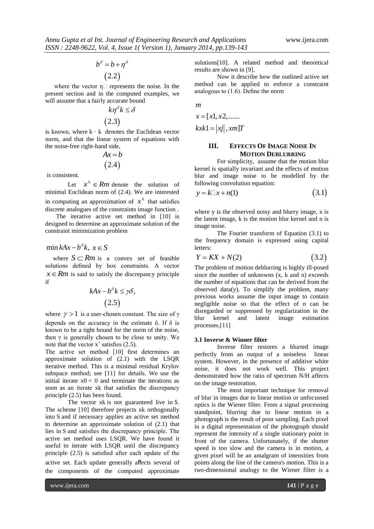$$
b^{\delta} = b + \eta^{\delta}
$$

 $(2.2)$ 

where the vector  $\eta \Box$  represents the noise. In the present section and in the computed examples, we will assume that a fairly accurate bound

$$
k\eta^{\delta}k \leq \delta
$$
  
(2.3)

is known, where  $k \cdot k$  denotes the Euclidean vector norm, and that the linear system of equations with the noise-free right-hand side,

$$
Ax = b
$$
  
(2.4)

is consistent.

Let  $x^{\Lambda} \in Rm$  denote the solution of minimal Euclidean norm of (2.4). We are interested in computing an approximation of  $x^{\Lambda}$  that satisfies discrete analogues of the constraints image function .

The iterative active set method in [10] is designed to determine an approximate solution of the constraint minimization problem

### $\min kAx - b^{\delta}k, x \in S$

where  $S \subset Rm$  is a convex set of feasible solutions defined by box constraints. A vector  $x \in Rm$  is said to satisfy the discrepancy principle if

$$
kAx - b^{\delta}k \leq \gamma\delta,
$$
  
(2.5)

where  $\gamma > 1$  is a user-chosen constant. The size of  $\gamma$ depends on the accuracy in the estimate  $\delta$ . If  $\delta$  is known to be a tight bound for the norm of the noise, then  $\gamma$  is generally chosen to be close to unity. We note that the vector  $x^{\text{ }z}$  satisfies (2.5).

The active set method [10] first determines an approximate solution of (2.1) with the LSQR iterative method. This is a minimal residual Krylov subspace method; see [11] for details. We use the initial iterate  $x0 = 0$  and terminate the iterations as soon as an iterate xk that satisfies the discrepancy principle (2.5) has been found.

The vector xk is not guaranteed live in S. The scheme [10] therefore projects xk orthogonally into S and if necessary applies an active set method to determine an approximate solution of (2.1) that lies in S and satisfies the discrepancy principle. The active set method uses LSQR. We have found it useful to iterate with LSQR until the discrepancy principle (2.5) is satisfied after each update of the active set. Each update generally affects several of the components of the computed approximate

solutions[10]. A related method and theoretical results are shown in [9].

Now it describe how the outlined active set method can be applied to enforce a constraint analogous to (1.6). Define the norm

*m*

$$
x = [x1, x2, \dots
$$

$$
kxk1 = |xj|, xm]T
$$

#### **III. EFFECTS OF IMAGE NOISE IN MOTION DEBLURRING**

For simplicity, assume that the motion blur kernel is spatially invariant and the effects of motion blur and image noise to be modelled by the following convolution equation:

$$
y = k \Box x + n(1) \tag{3.1}
$$

where y is the observed noisy and blurry image, x is the latent image, k is the motion blur kernel and n is image noise.

The Fourier transform of Equation (3.1) to the frequency domain is expressed using capital letters:

$$
Y = KX + N(2) \tag{3.2}
$$

The problem of motion deblurring is highly ill-posed since the number of unknowns  $(x, k \text{ and } n)$  exceeds the number of equations that can be derived from the observed data(y). To simplify the problem, many previous works assume the input image to contain negligible noise so that the effect of n can be disregarded or suppressed by regularization in the blur kernel and latent image estimation processes.[11]

#### **3.1 Inverse & Winner filter**

Inverse filter restores a blurred image perfectly from an output of a noiseless linear system. However, in the presence of additive white noise, it does not work well. This project demonstrated how the ratio of spectrum N/H affects on the image restoration.

The most important technique for removal of blur in images due to linear motion or unfocussed optics is the Wiener filter. From a signal processing standpoint, blurring due to linear motion in a photograph is the result of poor sampling. Each pixel in a digital representation of the photograph should represent the intensity of a single stationary point in front of the camera. Unfortunately, if the shutter speed is too slow and the camera is in motion, a given pixel will be an amalgram of intensities from points along the line of the camera's motion. This is a two-dimensional analogy to the Wiener filter is a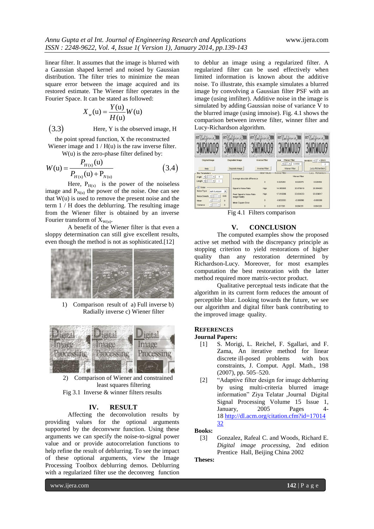linear filter. It assumes that the image is blurred with a Gaussian shaped kernel and noised by Gaussian distribution. The filter tries to minimize the mean square error between the image acquired and its restored estimate. The Wiener filter operates in the Fourier Space. It can be stated as followed:

$$
X_w(u) = \frac{Y(u)}{H(u)}W(u)
$$

3.3 Here, Y is the observed image, H

the point spread function, X the reconstructed Wiener image and  $1 / H(u)$  is the raw inverse filter.

W(u) is the zero-phase filter defined by:  $(n)$ *P*

$$
W(u) = \frac{I_{H(x)}(u)}{P_{H(x)}(u) + P_{N(u)}}\tag{3.4}
$$

Here,  $P_{H(x)}$  is the power of the noiseless image and  $P_{N(u)}$  the power of the noise. One can see that  $W(u)$  is used to remove the present noise and the term 1 / H does the deblurring. The resulting image from the Wiener filter is obtained by an inverse Fourier transform of  $X_{W(u)}$ .

A benefit of the Wiener filter is that even a sloppy determination can still give excellent results, even though the method is not as sophisticated.[12]



1) Comparison result of a) Full inverse b) Radially inverse c) Wiener filter



2) Comparison of Wiener and constrained least squares filtering Fig 3.1 Inverse & winner filters results

#### **IV. RESULT**

Affecting the deconvolution results by providing values for the optional arguments supported by the deconvwnr function. Using these arguments we can specify the noise-to-signal power value and or provide autocorrelation functions to help refine the result of deblurring. To see the impact of these optional arguments, view the Image Processing Toolbox deblurring demos. Deblurring with a regularized filter use the deconvreg function to deblur an image using a regularized filter. A regularized filter can be used effectively when limited information is known about the additive noise. To illustrate, this example simulates a blurred image by convolving a Gaussian filter PSF with an image (using imfilter). Additive noise in the image is simulated by adding Gaussian noise of variance V to the blurred image (using imnoise). Fig. 4.1 shows the comparison between inverse filter, winner filter and Lucy-Richardson algorithm.



Fig 4.1 Filters comparison

#### **V. CONCLUSION**

The computed examples show the proposed active set method with the discrepancy principle as stopping criterion to yield restorations of higher quality than any restoration determined by Richardson-Lucy. Moreover, for most examples computation the best restoration with the latter method required more matrix-vector product.

Qualitative perceptual tests indicate that the algorithm in its current form reduces the amount of perceptible blur. Looking towards the future, we see our algorithm and digital filter bank contributing to the improved image quality.

# **REFERENCES**

## **Journal Papers:**

- [1] S. Morigi, L. Reichel, F. Sgallari, and F. Zama, An iterative method for linear discrete ill-posed problems with box constraints, J. Comput. Appl. Math., 198 (2007), pp. 505–520.
- [2] "Adaptive filter design for image deblurring by using multi-criteria blurred image information" Ziya Telatar ,Journal Digital Signal Processing Volume 15 Issue 1,<br>January, 2005 Pages 4-January, 2005 Pages 4- 18 [http://dl.acm.org/citation.cfm?id=17014](http://dl.acm.org/citation.cfm?id=1701432) [32](http://dl.acm.org/citation.cfm?id=1701432)

**Books:**

[3] Gonzalez, Rafeal C. and Woods, Richard E. *Digital image processing*, 2nd edition Prentice Hall, Beijing China 2002

**Theses:**